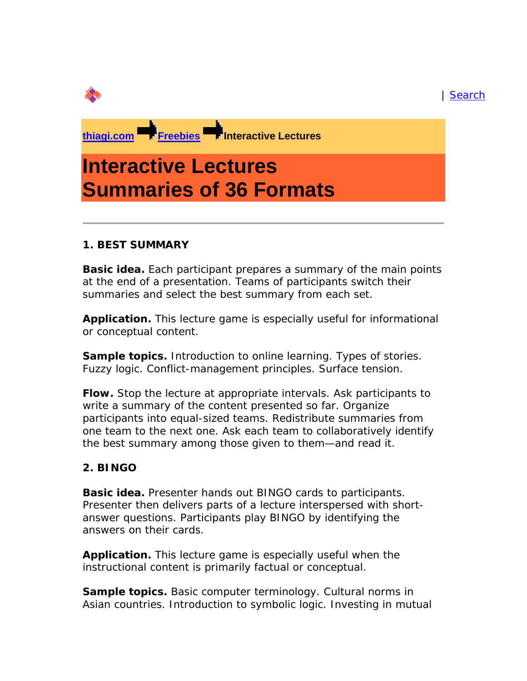#### | Search

**thiagi.com Freebies Interactive Lectures** 

# **Interactive Lectures Summaries of 36 Formats**

#### *1. BEST SUMMARY*

**Basic idea.** Each participant prepares a summary of the main points at the end of a presentation. Teams of participants switch their summaries and select the best summary from each set.

**Application.** This lecture game is especially useful for informational or conceptual content.

**Sample topics.** Introduction to online learning. Types of stories. Fuzzy logic. Conflict-management principles. Surface tension.

**Flow.** Stop the lecture at appropriate intervals. Ask participants to write a summary of the content presented so far. Organize participants into equal-sized teams. Redistribute summaries from one team to the next one. Ask each team to collaboratively identify the best summary among those given to them—and read it.

#### *2. BINGO*

**Basic idea.** Presenter hands out BINGO cards to participants. Presenter then delivers parts of a lecture interspersed with shortanswer questions. Participants play BINGO by identifying the answers on their cards.

**Application.** This lecture game is especially useful when the instructional content is primarily factual or conceptual.

**Sample topics.** Basic computer terminology. Cultural norms in Asian countries. Introduction to symbolic logic. Investing in mutual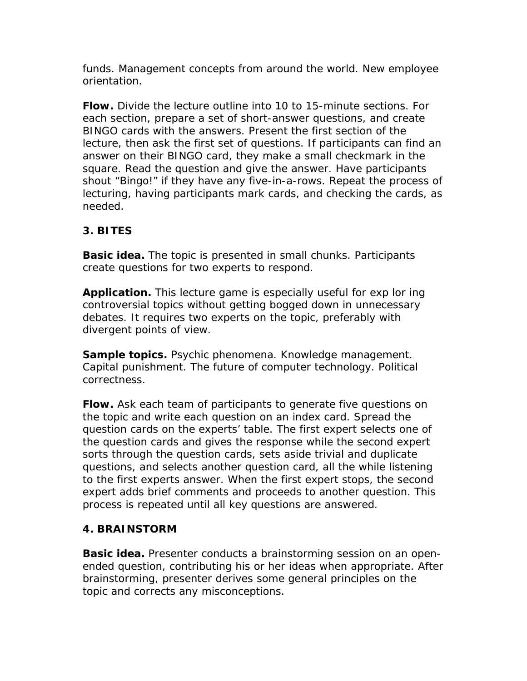funds. Management concepts from around the world. New employee orientation.

**Flow.** Divide the lecture outline into 10 to 15-minute sections. For each section, prepare a set of short-answer questions, and create BINGO cards with the answers. Present the first section of the lecture, then ask the first set of questions. If participants can find an answer on their BINGO card, they make a small checkmark in the square. Read the question and give the answer. Have participants shout "Bingo!" if they have any five-in-a-rows. Repeat the process of lecturing, having participants mark cards, and checking the cards, as needed.

# *3. BITES*

**Basic idea.** The topic is presented in small chunks. Participants create questions for two experts to respond.

**Application.** This lecture game is especially useful for exp lor ing controversial topics without getting bogged down in unnecessary debates. It requires two experts on the topic, preferably with divergent points of view.

**Sample topics.** Psychic phenomena. Knowledge management. Capital punishment. The future of computer technology. Political correctness.

**Flow.** Ask each team of participants to generate five questions on the topic and write each question on an index card. Spread the question cards on the experts' table. The first expert selects one of the question cards and gives the response while the second expert sorts through the question cards, sets aside trivial and duplicate questions, and selects another question card, all the while listening to the first experts answer. When the first expert stops, the second expert adds brief comments and proceeds to another question. This process is repeated until all key questions are answered.

## *4. BRAINSTORM*

**Basic idea.** Presenter conducts a brainstorming session on an openended question, contributing his or her ideas when appropriate. After brainstorming, presenter derives some general principles on the topic and corrects any misconceptions.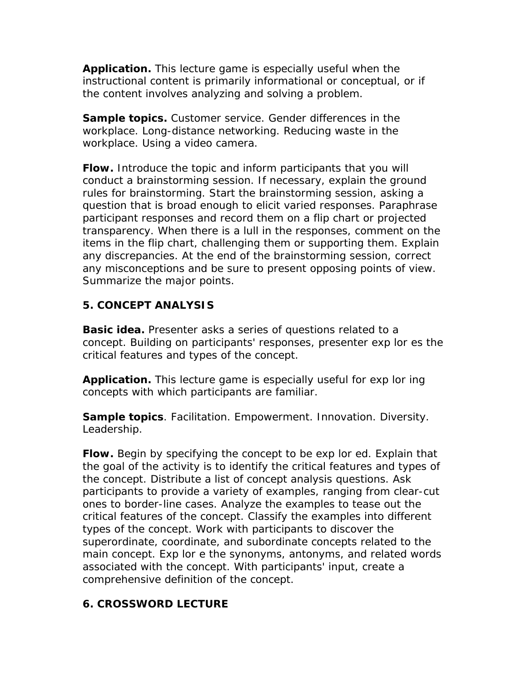**Application.** This lecture game is especially useful when the instructional content is primarily informational or conceptual, or if the content involves analyzing and solving a problem.

**Sample topics.** Customer service. Gender differences in the workplace. Long-distance networking. Reducing waste in the workplace. Using a video camera.

**Flow.** Introduce the topic and inform participants that you will conduct a brainstorming session. If necessary, explain the ground rules for brainstorming. Start the brainstorming session, asking a question that is broad enough to elicit varied responses. Paraphrase participant responses and record them on a flip chart or projected transparency. When there is a lull in the responses, comment on the items in the flip chart, challenging them or supporting them. Explain any discrepancies. At the end of the brainstorming session, correct any misconceptions and be sure to present opposing points of view. Summarize the major points.

## *5. CONCEPT ANALYSIS*

**Basic idea.** Presenter asks a series of questions related to a concept. Building on participants' responses, presenter exp lor es the critical features and types of the concept.

**Application.** This lecture game is especially useful for exp lor ing concepts with which participants are familiar.

**Sample topics**. Facilitation. Empowerment. Innovation. Diversity. Leadership.

**Flow.** Begin by specifying the concept to be exp lor ed. Explain that the goal of the activity is to identify the critical features and types of the concept. Distribute a list of concept analysis questions. Ask participants to provide a variety of examples, ranging from clear-cut ones to border-line cases. Analyze the examples to tease out the critical features of the concept. Classify the examples into different types of the concept. Work with participants to discover the superordinate, coordinate, and subordinate concepts related to the main concept. Exp lor e the synonyms, antonyms, and related words associated with the concept. With participants' input, create a comprehensive definition of the concept.

#### *6. CROSSWORD LECTURE*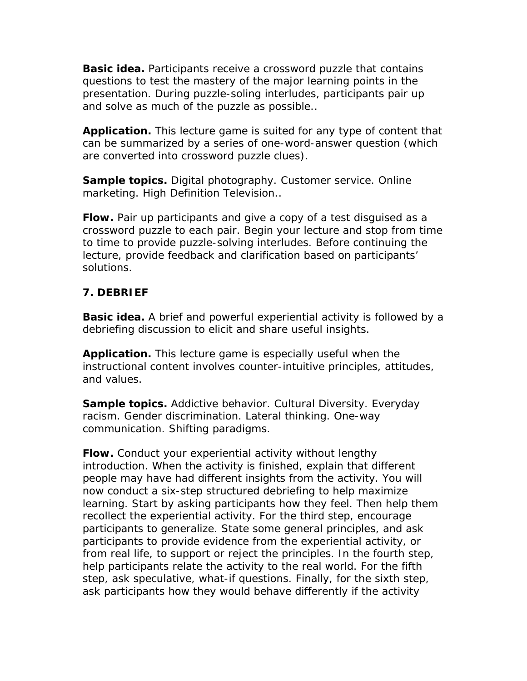**Basic idea.** Participants receive a crossword puzzle that contains questions to test the mastery of the major learning points in the presentation. During puzzle-soling interludes, participants pair up and solve as much of the puzzle as possible..

**Application.** This lecture game is suited for any type of content that can be summarized by a series of one-word-answer question (which are converted into crossword puzzle clues).

**Sample topics.** Digital photography. Customer service. Online marketing. High Definition Television..

**Flow.** Pair up participants and give a copy of a test disguised as a crossword puzzle to each pair. Begin your lecture and stop from time to time to provide puzzle-solving interludes. Before continuing the lecture, provide feedback and clarification based on participants' solutions.

## *7. DEBRIEF*

**Basic idea.** A brief and powerful experiential activity is followed by a debriefing discussion to elicit and share useful insights.

**Application.** This lecture game is especially useful when the instructional content involves counter-intuitive principles, attitudes, and values.

**Sample topics.** Addictive behavior. Cultural Diversity. Everyday racism. Gender discrimination. Lateral thinking. One-way communication. Shifting paradigms.

**Flow.** Conduct your experiential activity without lengthy introduction. When the activity is finished, explain that different people may have had different insights from the activity. You will now conduct a six-step structured debriefing to help maximize learning. Start by asking participants how they feel. Then help them recollect the experiential activity. For the third step, encourage participants to generalize. State some general principles, and ask participants to provide evidence from the experiential activity, or from real life, to support or reject the principles. In the fourth step, help participants relate the activity to the real world. For the fifth step, ask speculative, what-if questions. Finally, for the sixth step, ask participants how they would behave differently if the activity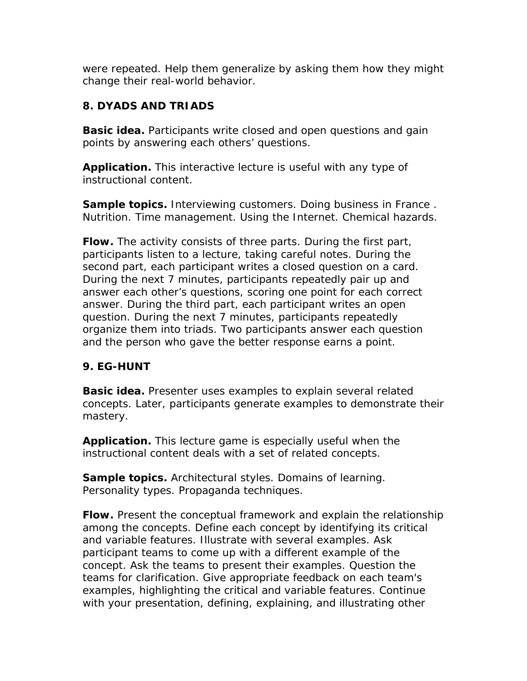were repeated. Help them generalize by asking them how they might change their real-world behavior.

# *8. DYADS AND TRIADS*

**Basic idea.** Participants write closed and open questions and gain points by answering each others' questions.

**Application.** This interactive lecture is useful with any type of instructional content.

**Sample topics.** Interviewing customers. Doing business in France . Nutrition. Time management. Using the Internet. Chemical hazards.

**Flow.** The activity consists of three parts. During the first part, participants listen to a lecture, taking careful notes. During the second part, each participant writes a closed question on a card. During the next 7 minutes, participants repeatedly pair up and answer each other's questions, scoring one point for each correct answer. During the third part, each participant writes an open question. During the next 7 minutes, participants repeatedly organize them into triads. Two participants answer each question and the person who gave the better response earns a point.

## *9. EG-HUNT*

**Basic idea.** Presenter uses examples to explain several related concepts. Later, participants generate examples to demonstrate their mastery.

**Application.** This lecture game is especially useful when the instructional content deals with a set of related concepts.

**Sample topics.** Architectural styles. Domains of learning. Personality types. Propaganda techniques.

**Flow.** Present the conceptual framework and explain the relationship among the concepts. Define each concept by identifying its critical and variable features. Illustrate with several examples. Ask participant teams to come up with a different example of the concept. Ask the teams to present their examples. Question the teams for clarification. Give appropriate feedback on each team's examples, highlighting the critical and variable features. Continue with your presentation, defining, explaining, and illustrating other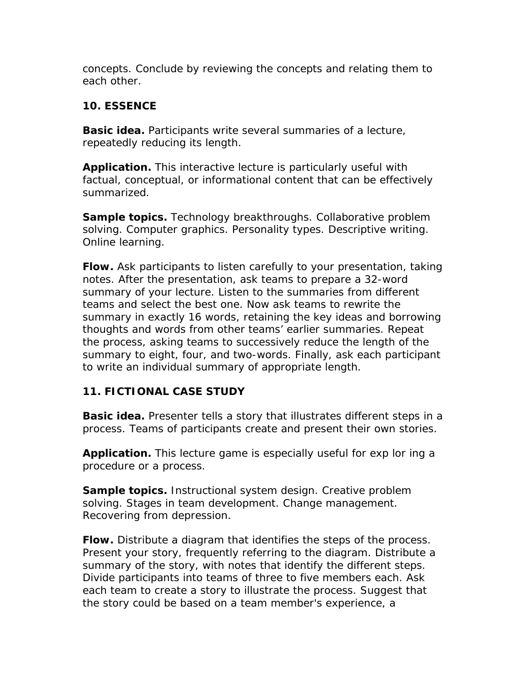concepts. Conclude by reviewing the concepts and relating them to each other.

#### *10. ESSENCE*

**Basic idea.** Participants write several summaries of a lecture, repeatedly reducing its length.

**Application.** This interactive lecture is particularly useful with factual, conceptual, or informational content that can be effectively summarized.

**Sample topics.** Technology breakthroughs. Collaborative problem solving. Computer graphics. Personality types. Descriptive writing. Online learning.

**Flow.** Ask participants to listen carefully to your presentation, taking notes. After the presentation, ask teams to prepare a 32-word summary of your lecture. Listen to the summaries from different teams and select the best one. Now ask teams to rewrite the summary in exactly 16 words, retaining the key ideas and borrowing thoughts and words from other teams' earlier summaries. Repeat the process, asking teams to successively reduce the length of the summary to eight, four, and two-words. Finally, ask each participant to write an individual summary of appropriate length.

## *11. FICTIONAL CASE STUDY*

**Basic idea.** Presenter tells a story that illustrates different steps in a process. Teams of participants create and present their own stories.

**Application.** This lecture game is especially useful for exp lor ing a procedure or a process.

**Sample topics.** Instructional system design. Creative problem solving. Stages in team development. Change management. Recovering from depression.

**Flow.** Distribute a diagram that identifies the steps of the process. Present your story, frequently referring to the diagram. Distribute a summary of the story, with notes that identify the different steps. Divide participants into teams of three to five members each. Ask each team to create a story to illustrate the process. Suggest that the story could be based on a team member's experience, a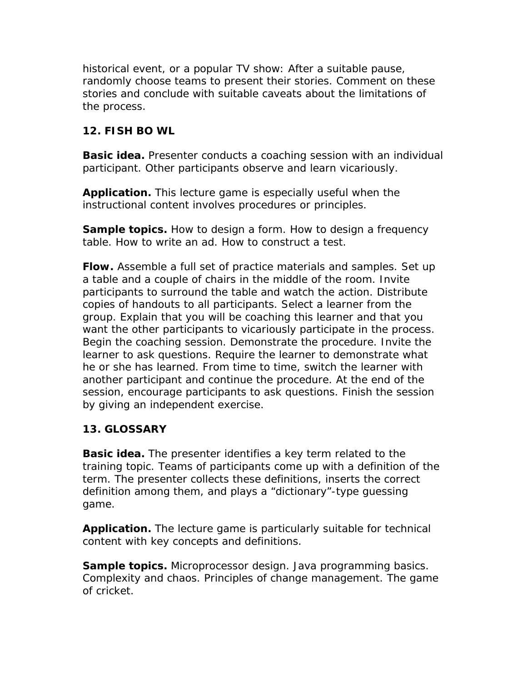historical event, or a popular TV show: After a suitable pause, randomly choose teams to present their stories. Comment on these stories and conclude with suitable caveats about the limitations of the process.

#### *12. FISH BO WL*

**Basic idea.** Presenter conducts a coaching session with an individual participant. Other participants observe and learn vicariously.

**Application.** This lecture game is especially useful when the instructional content involves procedures or principles.

**Sample topics.** How to design a form. How to design a frequency table. How to write an ad. How to construct a test.

**Flow.** Assemble a full set of practice materials and samples. Set up a table and a couple of chairs in the middle of the room. Invite participants to surround the table and watch the action. Distribute copies of handouts to all participants. Select a learner from the group. Explain that you will be coaching this learner and that you want the other participants to vicariously participate in the process. Begin the coaching session. Demonstrate the procedure. Invite the learner to ask questions. Require the learner to demonstrate what he or she has learned. From time to time, switch the learner with another participant and continue the procedure. At the end of the session, encourage participants to ask questions. Finish the session by giving an independent exercise.

## *13. GLOSSARY*

**Basic idea.** The presenter identifies a key term related to the training topic. Teams of participants come up with a definition of the term. The presenter collects these definitions, inserts the correct definition among them, and plays a "dictionary"-type guessing game.

**Application.** The lecture game is particularly suitable for technical content with key concepts and definitions.

**Sample topics.** Microprocessor design. Java programming basics. Complexity and chaos. Principles of change management. The game of cricket.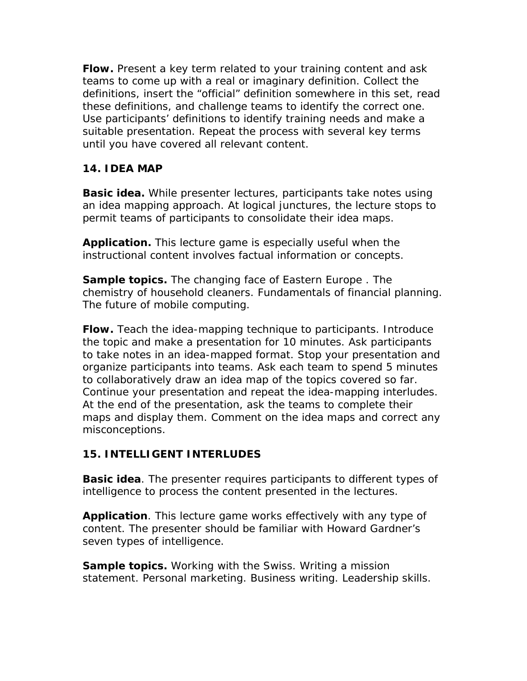**Flow.** Present a key term related to your training content and ask teams to come up with a real or imaginary definition. Collect the definitions, insert the "official" definition somewhere in this set, read these definitions, and challenge teams to identify the correct one. Use participants' definitions to identify training needs and make a suitable presentation. Repeat the process with several key terms until you have covered all relevant content.

## *14. IDEA MAP*

**Basic idea.** While presenter lectures, participants take notes using an idea mapping approach. At logical junctures, the lecture stops to permit teams of participants to consolidate their idea maps.

**Application.** This lecture game is especially useful when the instructional content involves factual information or concepts.

**Sample topics.** The changing face of Eastern Europe . The chemistry of household cleaners. Fundamentals of financial planning. The future of mobile computing.

**Flow.** Teach the idea-mapping technique to participants. Introduce the topic and make a presentation for 10 minutes. Ask participants to take notes in an idea-mapped format. Stop your presentation and organize participants into teams. Ask each team to spend 5 minutes to collaboratively draw an idea map of the topics covered so far. Continue your presentation and repeat the idea-mapping interludes. At the end of the presentation, ask the teams to complete their maps and display them. Comment on the idea maps and correct any misconceptions.

#### *15. INTELLIGENT INTERLUDES*

**Basic idea**. The presenter requires participants to different types of intelligence to process the content presented in the lectures.

**Application**. This lecture game works effectively with any type of content. The presenter should be familiar with Howard Gardner's seven types of intelligence.

**Sample topics.** Working with the Swiss. Writing a mission statement. Personal marketing. Business writing. Leadership skills.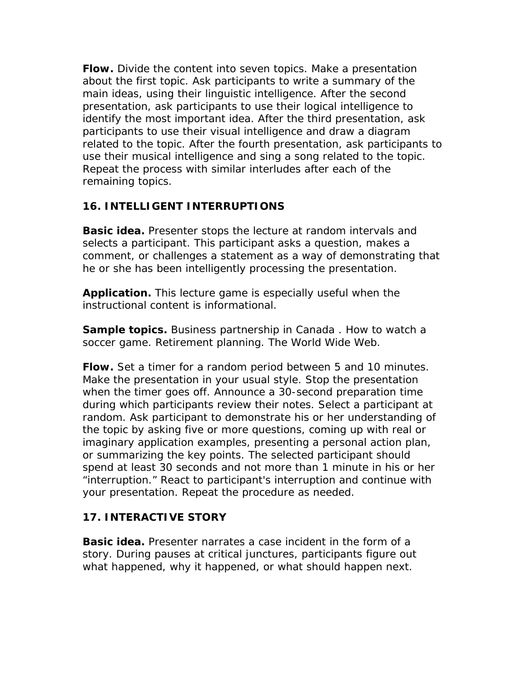**Flow.** Divide the content into seven topics. Make a presentation about the first topic. Ask participants to write a summary of the main ideas, using their linguistic intelligence. After the second presentation, ask participants to use their logical intelligence to identify the most important idea. After the third presentation, ask participants to use their visual intelligence and draw a diagram related to the topic. After the fourth presentation, ask participants to use their musical intelligence and sing a song related to the topic. Repeat the process with similar interludes after each of the remaining topics.

## *16. INTELLIGENT INTERRUPTIONS*

**Basic idea.** Presenter stops the lecture at random intervals and selects a participant. This participant asks a question, makes a comment, or challenges a statement as a way of demonstrating that he or she has been intelligently processing the presentation.

**Application.** This lecture game is especially useful when the instructional content is informational.

**Sample topics.** Business partnership in Canada . How to watch a soccer game. Retirement planning. The World Wide Web.

**Flow.** Set a timer for a random period between 5 and 10 minutes. Make the presentation in your usual style. Stop the presentation when the timer goes off. Announce a 30-second preparation time during which participants review their notes. Select a participant at random. Ask participant to demonstrate his or her understanding of the topic by asking five or more questions, coming up with real or imaginary application examples, presenting a personal action plan, or summarizing the key points. The selected participant should spend at least 30 seconds and not more than 1 minute in his or her "interruption." React to participant's interruption and continue with your presentation. Repeat the procedure as needed.

## *17. INTERACTIVE STORY*

**Basic idea.** Presenter narrates a case incident in the form of a story. During pauses at critical junctures, participants figure out what happened, why it happened, or what should happen next.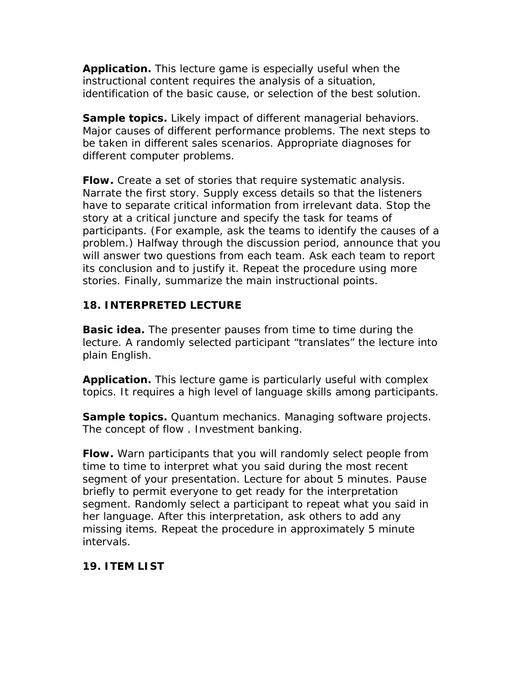**Application.** This lecture game is especially useful when the instructional content requires the analysis of a situation, identification of the basic cause, or selection of the best solution.

**Sample topics.** Likely impact of different managerial behaviors. Major causes of different performance problems. The next steps to be taken in different sales scenarios. Appropriate diagnoses for different computer problems.

**Flow.** Create a set of stories that require systematic analysis. Narrate the first story. Supply excess details so that the listeners have to separate critical information from irrelevant data. Stop the story at a critical juncture and specify the task for teams of participants. (For example, ask the teams to identify the causes of a problem.) Halfway through the discussion period, announce that you will answer two questions from each team. Ask each team to report its conclusion and to justify it. Repeat the procedure using more stories. Finally, summarize the main instructional points.

## *18. INTERPRETED LECTURE*

**Basic idea.** The presenter pauses from time to time during the lecture. A randomly selected participant "translates" the lecture into plain English.

**Application.** This lecture game is particularly useful with complex topics. It requires a high level of language skills among participants.

**Sample topics.** Quantum mechanics. Managing software projects. The concept of flow . Investment banking.

**Flow.** Warn participants that you will randomly select people from time to time to interpret what you said during the most recent segment of your presentation. Lecture for about 5 minutes. Pause briefly to permit everyone to get ready for the interpretation segment. Randomly select a participant to repeat what you said in her language. After this interpretation, ask others to add any missing items. Repeat the procedure in approximately 5 minute intervals.

#### *19. ITEM LIST*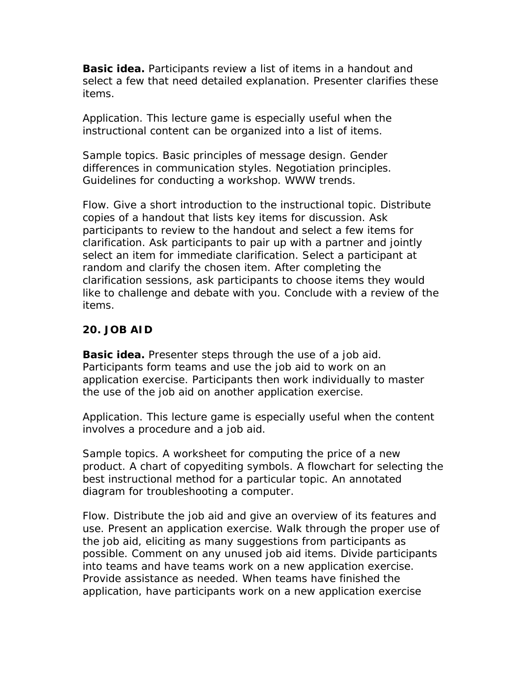**Basic idea.** Participants review a list of items in a handout and select a few that need detailed explanation. Presenter clarifies these items.

Application. This lecture game is especially useful when the instructional content can be organized into a list of items.

Sample topics. Basic principles of message design. Gender differences in communication styles. Negotiation principles. Guidelines for conducting a workshop. WWW trends.

Flow. Give a short introduction to the instructional topic. Distribute copies of a handout that lists key items for discussion. Ask participants to review to the handout and select a few items for clarification. Ask participants to pair up with a partner and jointly select an item for immediate clarification. Select a participant at random and clarify the chosen item. After completing the clarification sessions, ask participants to choose items they would like to challenge and debate with you. Conclude with a review of the items.

#### *20. JOB AID*

**Basic idea.** Presenter steps through the use of a job aid. Participants form teams and use the job aid to work on an application exercise. Participants then work individually to master the use of the job aid on another application exercise.

Application. This lecture game is especially useful when the content involves a procedure and a job aid.

Sample topics. A worksheet for computing the price of a new product. A chart of copyediting symbols. A flowchart for selecting the best instructional method for a particular topic. An annotated diagram for troubleshooting a computer.

Flow. Distribute the job aid and give an overview of its features and use. Present an application exercise. Walk through the proper use of the job aid, eliciting as many suggestions from participants as possible. Comment on any unused job aid items. Divide participants into teams and have teams work on a new application exercise. Provide assistance as needed. When teams have finished the application, have participants work on a new application exercise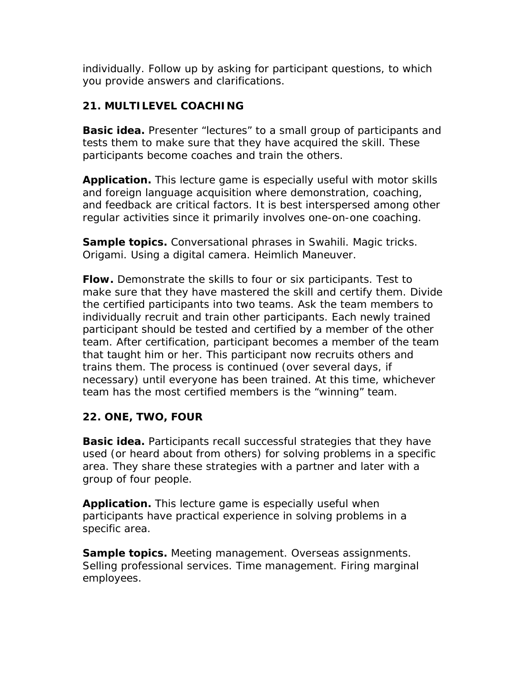individually. Follow up by asking for participant questions, to which you provide answers and clarifications.

## *21. MULTILEVEL COACHING*

**Basic idea.** Presenter "lectures" to a small group of participants and tests them to make sure that they have acquired the skill. These participants become coaches and train the others.

**Application.** This lecture game is especially useful with motor skills and foreign language acquisition where demonstration, coaching, and feedback are critical factors. It is best interspersed among other regular activities since it primarily involves one-on-one coaching.

**Sample topics.** Conversational phrases in Swahili. Magic tricks. Origami. Using a digital camera. Heimlich Maneuver.

**Flow.** Demonstrate the skills to four or six participants. Test to make sure that they have mastered the skill and certify them. Divide the certified participants into two teams. Ask the team members to individually recruit and train other participants. Each newly trained participant should be tested and certified by a member of the *other*  team. After certification, participant becomes a member of the team that taught him or her. This participant now recruits others and trains them. The process is continued (over several days, if necessary) until everyone has been trained. At this time, whichever team has the most certified members is the "winning" team.

## *22. ONE, TWO, FOUR*

**Basic idea.** Participants recall successful strategies that they have used (or heard about from others) for solving problems in a specific area. They share these strategies with a partner and later with a group of four people.

**Application.** This lecture game is especially useful when participants have practical experience in solving problems in a specific area.

**Sample topics.** Meeting management. Overseas assignments. Selling professional services. Time management. Firing marginal employees.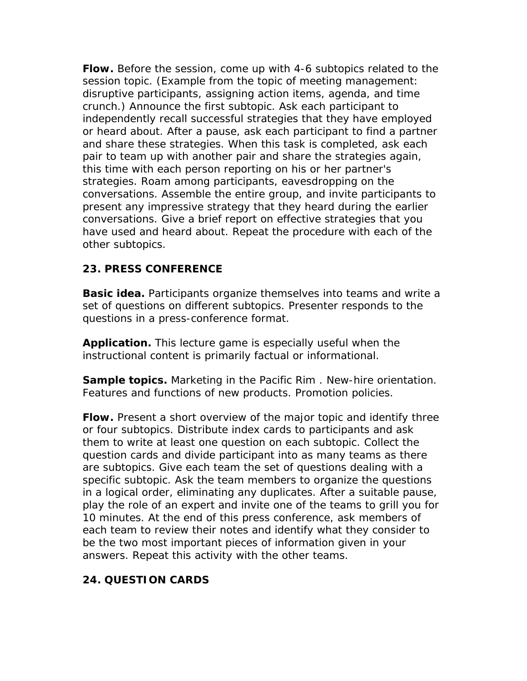**Flow.** Before the session, come up with 4-6 subtopics related to the session topic. (Example from the topic of meeting management: disruptive participants, assigning action items, agenda, and time crunch.) Announce the first subtopic. Ask each participant to independently recall successful strategies that they have employed or heard about. After a pause, ask each participant to find a partner and share these strategies. When this task is completed, ask each pair to team up with another pair and share the strategies again, this time with each person reporting on his or her partner's strategies. Roam among participants, eavesdropping on the conversations. Assemble the entire group, and invite participants to present any impressive strategy that they heard during the earlier conversations. Give a brief report on effective strategies that you have used and heard about. Repeat the procedure with each of the other subtopics.

## *23. PRESS CONFERENCE*

**Basic idea.** Participants organize themselves into teams and write a set of questions on different subtopics. Presenter responds to the questions in a press-conference format.

**Application.** This lecture game is especially useful when the instructional content is primarily factual or informational.

**Sample topics.** Marketing in the Pacific Rim . New-hire orientation. Features and functions of new products. Promotion policies.

**Flow.** Present a short overview of the major topic and identify three or four subtopics. Distribute index cards to participants and ask them to write at least one question on each subtopic. Collect the question cards and divide participant into as many teams as there are subtopics. Give each team the set of questions dealing with a specific subtopic. Ask the team members to organize the questions in a logical order, eliminating any duplicates. After a suitable pause, play the role of an expert and invite one of the teams to grill you for 10 minutes. At the end of this press conference, ask members of each team to review their notes and identify what they consider to be the two most important pieces of information given in your answers. Repeat this activity with the other teams.

#### *24. QUESTION CARDS*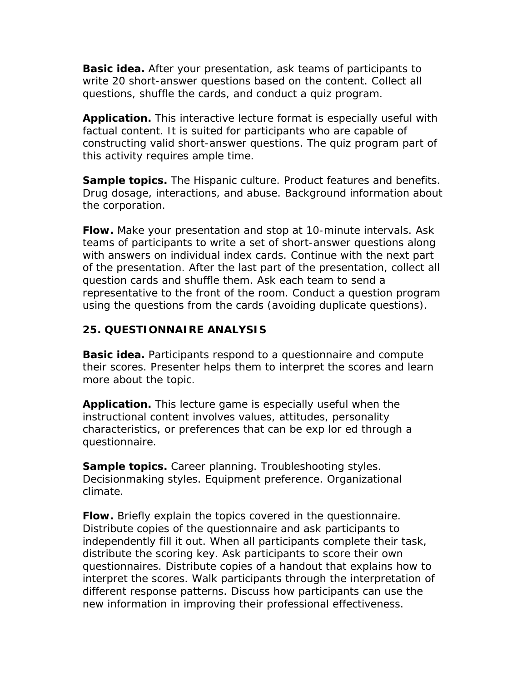**Basic idea.** After your presentation, ask teams of participants to write 20 short-answer questions based on the content. Collect all questions, shuffle the cards, and conduct a quiz program.

**Application.** This interactive lecture format is especially useful with factual content. It is suited for participants who are capable of constructing valid short-answer questions. The quiz program part of this activity requires ample time.

**Sample topics.** The Hispanic culture. Product features and benefits. Drug dosage, interactions, and abuse. Background information about the corporation.

**Flow.** Make your presentation and stop at 10-minute intervals. Ask teams of participants to write a set of short-answer questions along with answers on individual index cards. Continue with the next part of the presentation. After the last part of the presentation, collect all question cards and shuffle them. Ask each team to send a representative to the front of the room. Conduct a question program using the questions from the cards (avoiding duplicate questions).

#### *25. QUESTIONNAIRE ANALYSIS*

**Basic idea.** Participants respond to a questionnaire and compute their scores. Presenter helps them to interpret the scores and learn more about the topic.

**Application.** This lecture game is especially useful when the instructional content involves values, attitudes, personality characteristics, or preferences that can be exp lor ed through a questionnaire.

**Sample topics.** Career planning. Troubleshooting styles. Decisionmaking styles. Equipment preference. Organizational climate.

**Flow.** Briefly explain the topics covered in the questionnaire. Distribute copies of the questionnaire and ask participants to independently fill it out. When all participants complete their task, distribute the scoring key. Ask participants to score their own questionnaires. Distribute copies of a handout that explains how to interpret the scores. Walk participants through the interpretation of different response patterns. Discuss how participants can use the new information in improving their professional effectiveness.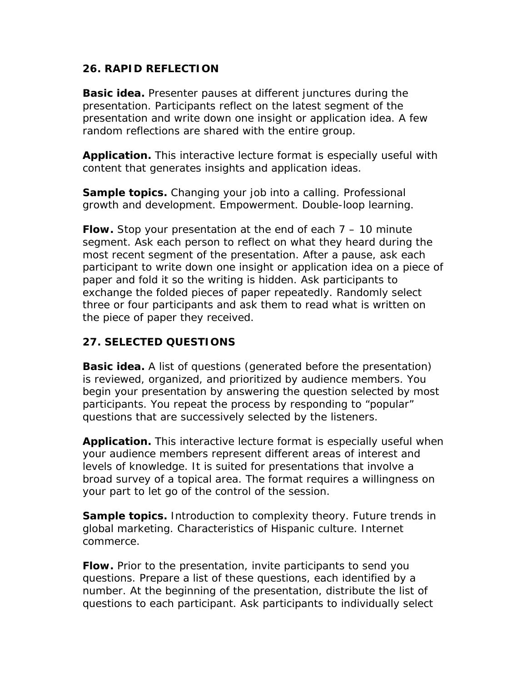#### *26. RAPID REFLECTION*

**Basic idea.** Presenter pauses at different junctures during the presentation. Participants reflect on the latest segment of the presentation and write down one insight or application idea. A few random reflections are shared with the entire group.

**Application.** This interactive lecture format is especially useful with content that generates insights and application ideas.

**Sample topics.** Changing your job into a calling. Professional growth and development. Empowerment. Double-loop learning.

**Flow.** Stop your presentation at the end of each 7 – 10 minute segment. Ask each person to reflect on what they heard during the most recent segment of the presentation. After a pause, ask each participant to write down one insight or application idea on a piece of paper and fold it so the writing is hidden. Ask participants to exchange the folded pieces of paper repeatedly. Randomly select three or four participants and ask them to read what is written on the piece of paper they received.

## *27. SELECTED QUESTIONS*

**Basic idea.** A list of questions (generated before the presentation) is reviewed, organized, and prioritized by audience members. You begin your presentation by answering the question selected by most participants. You repeat the process by responding to "popular" questions that are successively selected by the listeners.

**Application.** This interactive lecture format is especially useful when your audience members represent different areas of interest and levels of knowledge. It is suited for presentations that involve a broad survey of a topical area. The format requires a willingness on your part to let go of the control of the session.

**Sample topics.** Introduction to complexity theory. Future trends in global marketing. Characteristics of Hispanic culture. Internet commerce.

**Flow.** Prior to the presentation, invite participants to send you questions. Prepare a list of these questions, each identified by a number. At the beginning of the presentation, distribute the list of questions to each participant. Ask participants to individually select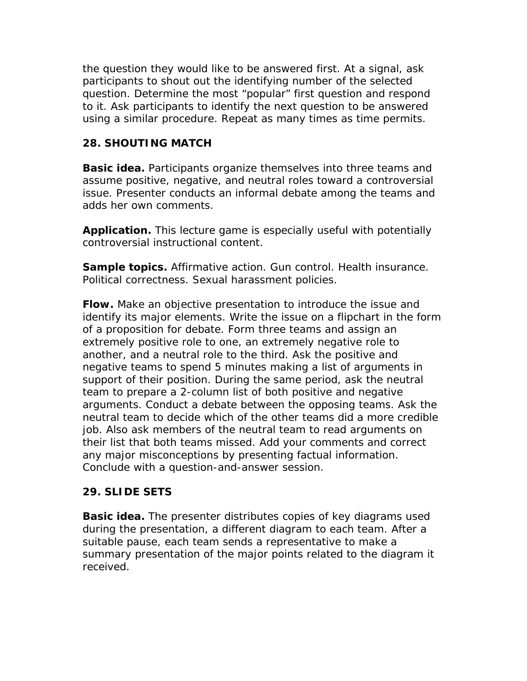the question they would like to be answered first. At a signal, ask participants to shout out the identifying number of the selected question. Determine the most "popular" first question and respond to it. Ask participants to identify the next question to be answered using a similar procedure. Repeat as many times as time permits.

## *28. SHOUTING MATCH*

**Basic idea.** Participants organize themselves into three teams and assume positive, negative, and neutral roles toward a controversial issue. Presenter conducts an informal debate among the teams and adds her own comments.

**Application.** This lecture game is especially useful with potentially controversial instructional content.

**Sample topics.** Affirmative action. Gun control. Health insurance. Political correctness. Sexual harassment policies.

**Flow.** Make an objective presentation to introduce the issue and identify its major elements. Write the issue on a flipchart in the form of a proposition for debate. Form three teams and assign an extremely positive role to one, an extremely negative role to another, and a neutral role to the third. Ask the positive and negative teams to spend 5 minutes making a list of arguments in support of their position. During the same period, ask the neutral team to prepare a 2-column list of both positive and negative arguments. Conduct a debate between the opposing teams. Ask the neutral team to decide which of the other teams did a more credible job. Also ask members of the neutral team to read arguments on their list that both teams missed. Add your comments and correct any major misconceptions by presenting factual information. Conclude with a question-and-answer session.

#### *29. SLIDE SETS*

**Basic idea.** The presenter distributes copies of key diagrams used during the presentation, a different diagram to each team. After a suitable pause, each team sends a representative to make a summary presentation of the major points related to the diagram it received.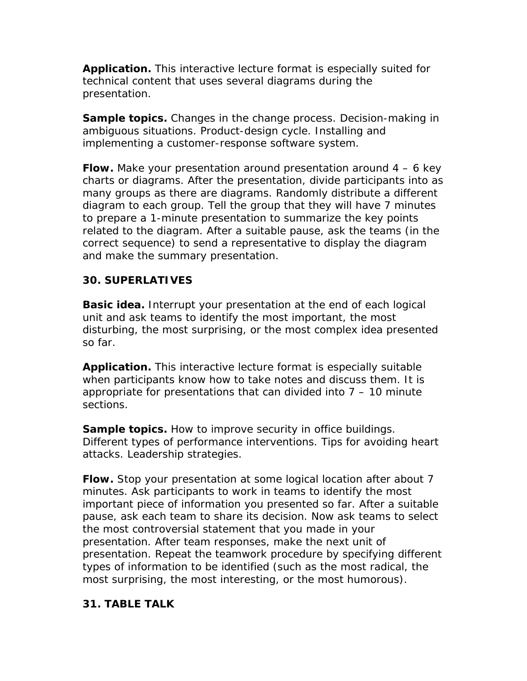**Application.** This interactive lecture format is especially suited for technical content that uses several diagrams during the presentation.

**Sample topics.** Changes in the change process. Decision-making in ambiguous situations. Product-design cycle. Installing and implementing a customer-response software system.

**Flow.** Make your presentation around presentation around 4 – 6 key charts or diagrams. After the presentation, divide participants into as many groups as there are diagrams. Randomly distribute a different diagram to each group. Tell the group that they will have 7 minutes to prepare a 1-minute presentation to summarize the key points related to the diagram. After a suitable pause, ask the teams (in the correct sequence) to send a representative to display the diagram and make the summary presentation.

## *30. SUPERLATIVES*

**Basic idea.** Interrupt your presentation at the end of each logical unit and ask teams to identify the most important, the most disturbing, the most surprising, or the most complex idea presented so far.

**Application.** This interactive lecture format is especially suitable when participants know how to take notes and discuss them. It is appropriate for presentations that can divided into  $7 - 10$  minute sections.

**Sample topics.** How to improve security in office buildings. Different types of performance interventions. Tips for avoiding heart attacks. Leadership strategies.

**Flow.** Stop your presentation at some logical location after about 7 minutes. Ask participants to work in teams to identify the most *important* piece of information you presented so far. After a suitable pause, ask each team to share its decision. Now ask teams to select the most *controversial* statement that you made in your presentation. After team responses, make the next unit of presentation. Repeat the teamwork procedure by specifying different types of information to be identified (such as the most radical, the most surprising, the most interesting, or the most humorous).

#### *31. TABLE TALK*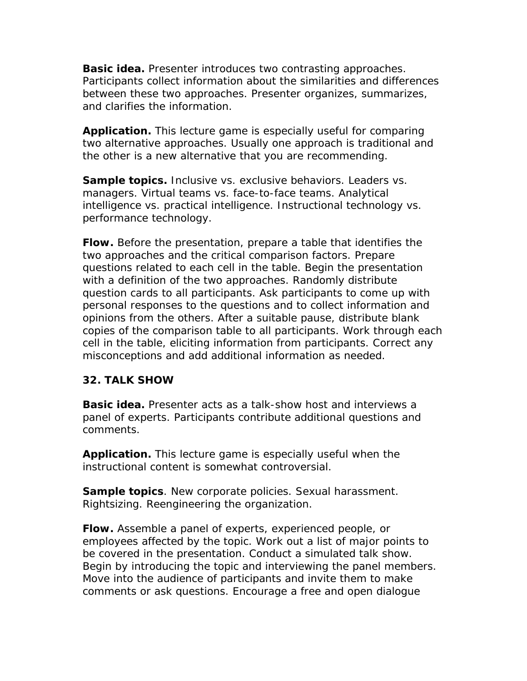**Basic idea.** Presenter introduces two contrasting approaches. Participants collect information about the similarities and differences between these two approaches. Presenter organizes, summarizes, and clarifies the information.

**Application.** This lecture game is especially useful for comparing two alternative approaches. Usually one approach is traditional and the other is a new alternative that you are recommending.

**Sample topics.** Inclusive vs. exclusive behaviors. Leaders vs. managers. Virtual teams vs. face-to-face teams. Analytical intelligence vs. practical intelligence. Instructional technology vs. performance technology.

**Flow.** Before the presentation, prepare a table that identifies the two approaches and the critical comparison factors. Prepare questions related to each cell in the table. Begin the presentation with a definition of the two approaches. Randomly distribute question cards to all participants. Ask participants to come up with personal responses to the questions and to collect information and opinions from the others. After a suitable pause, distribute blank copies of the comparison table to all participants. Work through each cell in the table, eliciting information from participants. Correct any misconceptions and add additional information as needed.

#### *32. TALK SHOW*

**Basic idea.** Presenter acts as a talk-show host and interviews a panel of experts. Participants contribute additional questions and comments.

**Application.** This lecture game is especially useful when the instructional content is somewhat controversial.

**Sample topics**. New corporate policies. Sexual harassment. Rightsizing. Reengineering the organization.

**Flow.** Assemble a panel of experts, experienced people, or employees affected by the topic. Work out a list of major points to be covered in the presentation. Conduct a simulated talk show. Begin by introducing the topic and interviewing the panel members. Move into the audience of participants and invite them to make comments or ask questions. Encourage a free and open dialogue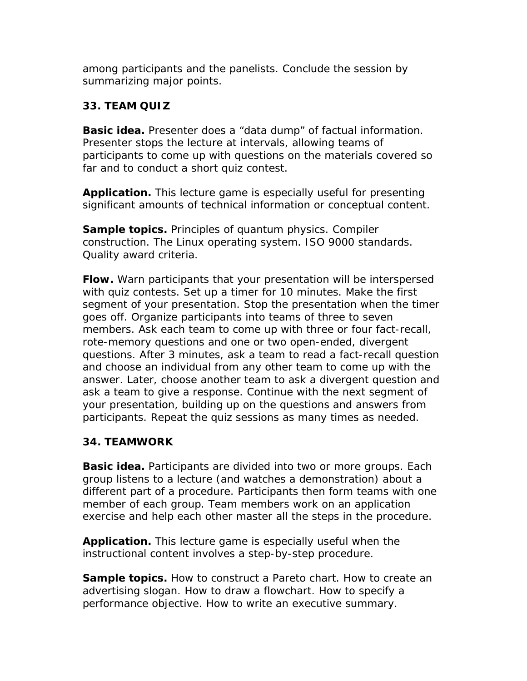among participants and the panelists. Conclude the session by summarizing major points.

## *33. TEAM QUIZ*

**Basic idea.** Presenter does a "data dump" of factual information. Presenter stops the lecture at intervals, allowing teams of participants to come up with questions on the materials covered so far and to conduct a short quiz contest.

**Application.** This lecture game is especially useful for presenting significant amounts of technical information or conceptual content.

**Sample topics.** Principles of quantum physics. Compiler construction. The Linux operating system. ISO 9000 standards. Quality award criteria.

**Flow.** Warn participants that your presentation will be interspersed with quiz contests. Set up a timer for 10 minutes. Make the first segment of your presentation. Stop the presentation when the timer goes off. Organize participants into teams of three to seven members. Ask each team to come up with three or four fact-recall, rote-memory questions and one or two open-ended, divergent questions. After 3 minutes, ask a team to read a fact-recall question and choose an individual from any other team to come up with the answer. Later, choose another team to ask a divergent question and ask a team to give a response. Continue with the next segment of your presentation, building up on the questions and answers from participants. Repeat the quiz sessions as many times as needed.

## *34. TEAMWORK*

**Basic idea.** Participants are divided into two or more groups. Each group listens to a lecture (and watches a demonstration) about a different part of a procedure. Participants then form teams with one member of each group. Team members work on an application exercise and help each other master all the steps in the procedure.

**Application.** This lecture game is especially useful when the instructional content involves a step-by-step procedure.

**Sample topics.** How to construct a Pareto chart. How to create an advertising slogan. How to draw a flowchart. How to specify a performance objective. How to write an executive summary.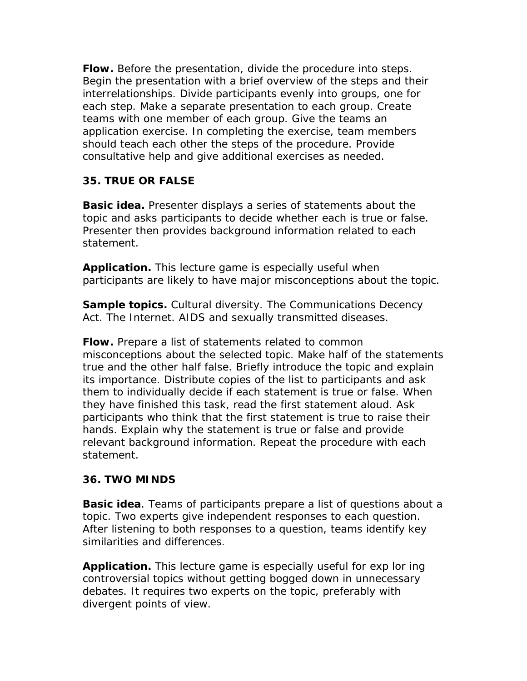**Flow.** Before the presentation, divide the procedure into steps. Begin the presentation with a brief overview of the steps and their interrelationships. Divide participants evenly into groups, one for each step. Make a separate presentation to each group. Create teams with one member of each group. Give the teams an application exercise. In completing the exercise, team members should teach each other the steps of the procedure. Provide consultative help and give additional exercises as needed.

## *35. TRUE OR FALSE*

**Basic idea.** Presenter displays a series of statements about the topic and asks participants to decide whether each is true or false. Presenter then provides background information related to each statement.

**Application.** This lecture game is especially useful when participants are likely to have major misconceptions about the topic.

**Sample topics.** Cultural diversity. The Communications Decency Act. The Internet. AIDS and sexually transmitted diseases.

**Flow.** Prepare a list of statements related to common misconceptions about the selected topic. Make half of the statements true and the other half false. Briefly introduce the topic and explain its importance. Distribute copies of the list to participants and ask them to individually decide if each statement is true or false. When they have finished this task, read the first statement aloud. Ask participants who think that the first statement is true to raise their hands. Explain why the statement is true or false and provide relevant background information. Repeat the procedure with each statement.

#### *36. TWO MINDS*

**Basic idea**. Teams of participants prepare a list of questions about a topic. Two experts give independent responses to each question. After listening to both responses to a question, teams identify key similarities and differences.

**Application.** This lecture game is especially useful for exp lor ing controversial topics without getting bogged down in unnecessary debates. It requires two experts on the topic, preferably with divergent points of view.